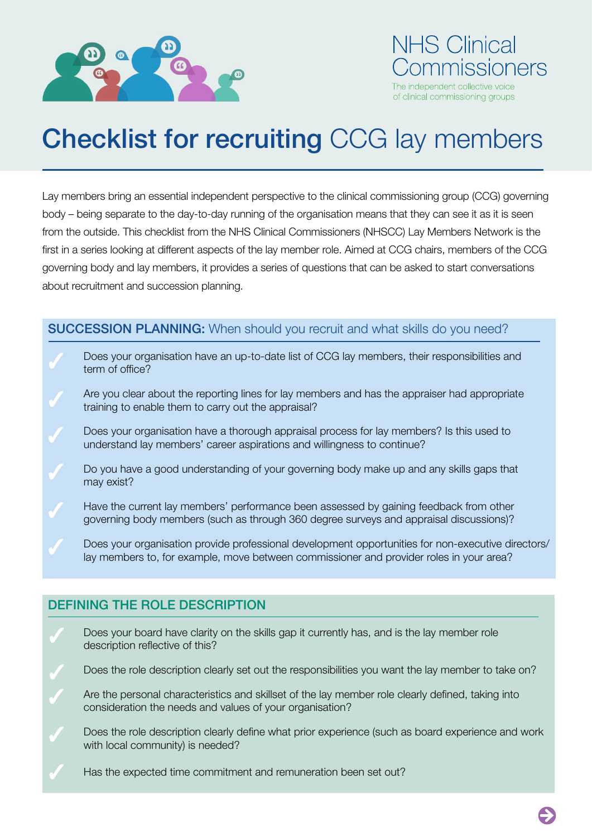

# NHS Clinical nmissioners The independent collective voice of clinical commissioning groups

# Checklist for recruiting CCG lay members

Lay members bring an essential independent perspective to the clinical commissioning group (CCG) governing body – being separate to the day-to-day running of the organisation means that they can see it as it is seen from the outside. This checklist from the NHS Clinical Commissioners (NHSCC) Lay Members Network is the frst in a series looking at different aspects of the lay member role. Aimed at CCG chairs, members of the CCG governing body and lay members, it provides a series of questions that can be asked to start conversations about recruitment and succession planning.

#### SUCCESSION PLANNING: When should you recruit and what skills do you need?

- Does your organisation have an up-to-date list of CCG lay members, their responsibilities and term of office?
- Are you clear about the reporting lines for lay members and has the appraiser had appropriate training to enable them to carry out the appraisal?
- Does your organisation have a thorough appraisal process for lay members? Is this used to understand lay members' career aspirations and willingness to continue?
- Do you have a good understanding of your governing body make up and any skills gaps that may exist?
- Have the current lay members' performance been assessed by gaining feedback from other governing body members (such as through 360 degree surveys and appraisal discussions)?
- Does your organisation provide professional development opportunities for non-executive directors/ lay members to, for example, move between commissioner and provider roles in your area?

### DEFINING THE ROLE DESCRIPTION

- Does your board have clarity on the skills gap it currently has, and is the lay member role description reflective of this?
- Does the role description clearly set out the responsibilities you want the lay member to take on?
- Are the personal characteristics and skillset of the lay member role clearly defned, taking into consideration the needs and values of your organisation?
- Does the role description clearly define what prior experience (such as board experience and work with local community) is needed?
- Has the expected time commitment and remuneration been set out?